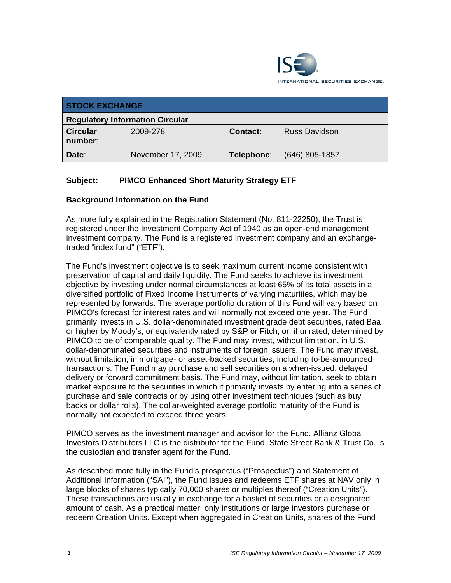

| <b>STOCK EXCHANGE</b>                  |                   |                 |                      |  |  |
|----------------------------------------|-------------------|-----------------|----------------------|--|--|
| <b>Regulatory Information Circular</b> |                   |                 |                      |  |  |
| <b>Circular</b><br>number:             | 2009-278          | <b>Contact:</b> | <b>Russ Davidson</b> |  |  |
| Date:                                  | November 17, 2009 | Telephone:      | $(646)$ 805-1857     |  |  |

# **Subject: PIMCO Enhanced Short Maturity Strategy ETF**

# **Background Information on the Fund**

As more fully explained in the Registration Statement (No. 811-22250), the Trust is registered under the Investment Company Act of 1940 as an open-end management investment company. The Fund is a registered investment company and an exchangetraded "index fund" ("ETF").

The Fund's investment objective is to seek maximum current income consistent with preservation of capital and daily liquidity. The Fund seeks to achieve its investment objective by investing under normal circumstances at least 65% of its total assets in a diversified portfolio of Fixed Income Instruments of varying maturities, which may be represented by forwards. The average portfolio duration of this Fund will vary based on PIMCO's forecast for interest rates and will normally not exceed one year. The Fund primarily invests in U.S. dollar-denominated investment grade debt securities, rated Baa or higher by Moody's, or equivalently rated by S&P or Fitch, or, if unrated, determined by PIMCO to be of comparable quality. The Fund may invest, without limitation, in U.S. dollar-denominated securities and instruments of foreign issuers. The Fund may invest, without limitation, in mortgage- or asset-backed securities, including to-be-announced transactions. The Fund may purchase and sell securities on a when-issued, delayed delivery or forward commitment basis. The Fund may, without limitation, seek to obtain market exposure to the securities in which it primarily invests by entering into a series of purchase and sale contracts or by using other investment techniques (such as buy backs or dollar rolls). The dollar-weighted average portfolio maturity of the Fund is normally not expected to exceed three years.

PIMCO serves as the investment manager and advisor for the Fund. Allianz Global Investors Distributors LLC is the distributor for the Fund. State Street Bank & Trust Co. is the custodian and transfer agent for the Fund.

As described more fully in the Fund's prospectus ("Prospectus") and Statement of Additional Information ("SAI"), the Fund issues and redeems ETF shares at NAV only in large blocks of shares typically 70,000 shares or multiples thereof ("Creation Units"). These transactions are usually in exchange for a basket of securities or a designated amount of cash. As a practical matter, only institutions or large investors purchase or redeem Creation Units. Except when aggregated in Creation Units, shares of the Fund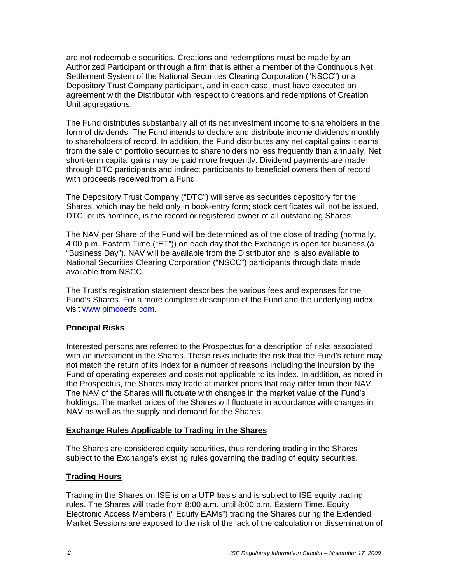are not redeemable securities. Creations and redemptions must be made by an Authorized Participant or through a firm that is either a member of the Continuous Net Settlement System of the National Securities Clearing Corporation ("NSCC") or a Depository Trust Company participant, and in each case, must have executed an agreement with the Distributor with respect to creations and redemptions of Creation Unit aggregations.

The Fund distributes substantially all of its net investment income to shareholders in the form of dividends. The Fund intends to declare and distribute income dividends monthly to shareholders of record. In addition, the Fund distributes any net capital gains it earns from the sale of portfolio securities to shareholders no less frequently than annually. Net short-term capital gains may be paid more frequently. Dividend payments are made through DTC participants and indirect participants to beneficial owners then of record with proceeds received from a Fund.

The Depository Trust Company ("DTC") will serve as securities depository for the Shares, which may be held only in book-entry form; stock certificates will not be issued. DTC, or its nominee, is the record or registered owner of all outstanding Shares.

The NAV per Share of the Fund will be determined as of the close of trading (normally, 4:00 p.m. Eastern Time ("ET")) on each day that the Exchange is open for business (a "Business Day"). NAV will be available from the Distributor and is also available to National Securities Clearing Corporation ("NSCC") participants through data made available from NSCC.

The Trust's registration statement describes the various fees and expenses for the Fund's Shares. For a more complete description of the Fund and the underlying index, visit www.pimcoetfs.com.

# **Principal Risks**

Interested persons are referred to the Prospectus for a description of risks associated with an investment in the Shares. These risks include the risk that the Fund's return may not match the return of its index for a number of reasons including the incursion by the Fund of operating expenses and costs not applicable to its index. In addition, as noted in the Prospectus, the Shares may trade at market prices that may differ from their NAV. The NAV of the Shares will fluctuate with changes in the market value of the Fund's holdings. The market prices of the Shares will fluctuate in accordance with changes in NAV as well as the supply and demand for the Shares.

# **Exchange Rules Applicable to Trading in the Shares**

The Shares are considered equity securities, thus rendering trading in the Shares subject to the Exchange's existing rules governing the trading of equity securities.

# **Trading Hours**

Trading in the Shares on ISE is on a UTP basis and is subject to ISE equity trading rules. The Shares will trade from 8:00 a.m. until 8:00 p.m. Eastern Time. Equity Electronic Access Members (" Equity EAMs") trading the Shares during the Extended Market Sessions are exposed to the risk of the lack of the calculation or dissemination of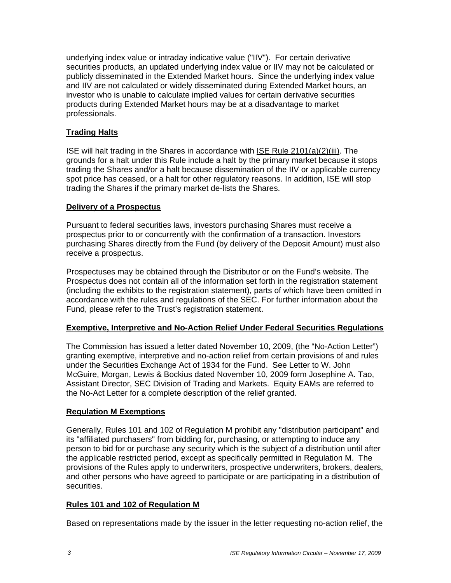underlying index value or intraday indicative value ("IIV"). For certain derivative securities products, an updated underlying index value or IIV may not be calculated or publicly disseminated in the Extended Market hours. Since the underlying index value and IIV are not calculated or widely disseminated during Extended Market hours, an investor who is unable to calculate implied values for certain derivative securities products during Extended Market hours may be at a disadvantage to market professionals.

# **Trading Halts**

ISE will halt trading in the Shares in accordance with ISE Rule 2101(a)(2)(iii). The grounds for a halt under this Rule include a halt by the primary market because it stops trading the Shares and/or a halt because dissemination of the IIV or applicable currency spot price has ceased, or a halt for other regulatory reasons. In addition, ISE will stop trading the Shares if the primary market de-lists the Shares.

#### **Delivery of a Prospectus**

Pursuant to federal securities laws, investors purchasing Shares must receive a prospectus prior to or concurrently with the confirmation of a transaction. Investors purchasing Shares directly from the Fund (by delivery of the Deposit Amount) must also receive a prospectus.

Prospectuses may be obtained through the Distributor or on the Fund's website. The Prospectus does not contain all of the information set forth in the registration statement (including the exhibits to the registration statement), parts of which have been omitted in accordance with the rules and regulations of the SEC. For further information about the Fund, please refer to the Trust's registration statement.

# **Exemptive, Interpretive and No-Action Relief Under Federal Securities Regulations**

The Commission has issued a letter dated November 10, 2009, (the "No-Action Letter") granting exemptive, interpretive and no-action relief from certain provisions of and rules under the Securities Exchange Act of 1934 for the Fund. See Letter to W. John McGuire, Morgan, Lewis & Bockius dated November 10, 2009 form Josephine A. Tao, Assistant Director, SEC Division of Trading and Markets. Equity EAMs are referred to the No-Act Letter for a complete description of the relief granted.

# **Regulation M Exemptions**

Generally, Rules 101 and 102 of Regulation M prohibit any "distribution participant" and its "affiliated purchasers" from bidding for, purchasing, or attempting to induce any person to bid for or purchase any security which is the subject of a distribution until after the applicable restricted period, except as specifically permitted in Regulation M. The provisions of the Rules apply to underwriters, prospective underwriters, brokers, dealers, and other persons who have agreed to participate or are participating in a distribution of securities.

# **Rules 101 and 102 of Regulation M**

Based on representations made by the issuer in the letter requesting no-action relief, the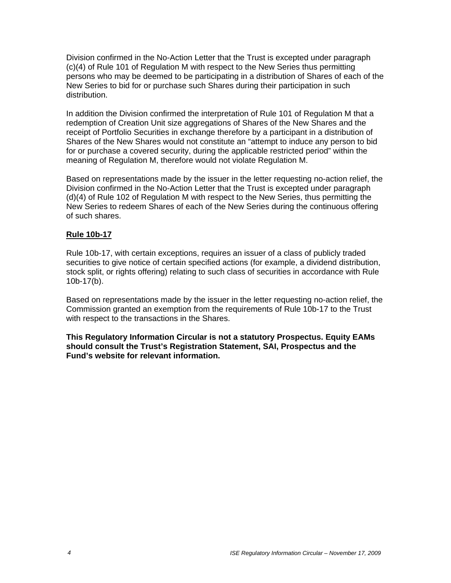Division confirmed in the No-Action Letter that the Trust is excepted under paragraph (c)(4) of Rule 101 of Regulation M with respect to the New Series thus permitting persons who may be deemed to be participating in a distribution of Shares of each of the New Series to bid for or purchase such Shares during their participation in such distribution.

In addition the Division confirmed the interpretation of Rule 101 of Regulation M that a redemption of Creation Unit size aggregations of Shares of the New Shares and the receipt of Portfolio Securities in exchange therefore by a participant in a distribution of Shares of the New Shares would not constitute an "attempt to induce any person to bid for or purchase a covered security, during the applicable restricted period" within the meaning of Regulation M, therefore would not violate Regulation M.

Based on representations made by the issuer in the letter requesting no-action relief, the Division confirmed in the No-Action Letter that the Trust is excepted under paragraph (d)(4) of Rule 102 of Regulation M with respect to the New Series, thus permitting the New Series to redeem Shares of each of the New Series during the continuous offering of such shares.

#### **Rule 10b-17**

Rule 10b-17, with certain exceptions, requires an issuer of a class of publicly traded securities to give notice of certain specified actions (for example, a dividend distribution, stock split, or rights offering) relating to such class of securities in accordance with Rule 10b-17(b).

Based on representations made by the issuer in the letter requesting no-action relief, the Commission granted an exemption from the requirements of Rule 10b-17 to the Trust with respect to the transactions in the Shares.

**This Regulatory Information Circular is not a statutory Prospectus. Equity EAMs should consult the Trust's Registration Statement, SAI, Prospectus and the Fund's website for relevant information.**